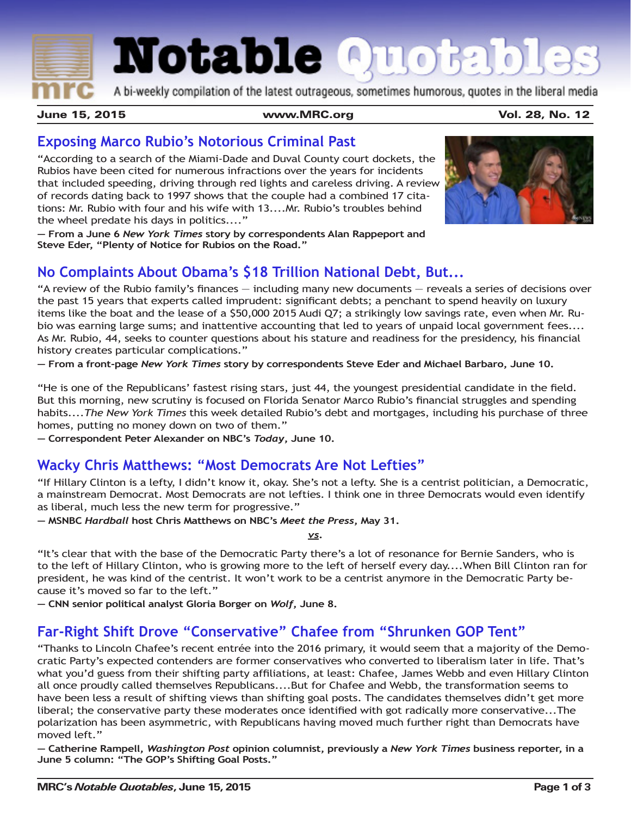**Notable Quotables** 

A bi-weekly compilation of the latest outrageous, sometimes humorous, quotes in the liberal media

June 15, 2015 www.MRC.org Vol. 28, No. 12

### **Exposing Marco Rubio's Notorious Criminal Past**

"According to a search of the Miami-Dade and Duval County court dockets, the Rubios have been cited for numerous infractions over the years for incidents that included speeding, driving through red lights and careless driving. A review of records dating back to 1997 shows that the couple had a combined 17 citations: Mr. Rubio with four and his wife with 13....Mr. Rubio's troubles behind the wheel predate his days in politics...."

**— From a June 6** *New York Times* **story by correspondents Alan Rappeport and Steve Eder, "Plenty of Notice for Rubios on the Road."**

# **No Complaints About Obama's \$18 Trillion National Debt, But...**

"A review of the Rubio family's finances — including many new documents — reveals a series of decisions over the past 15 years that experts called imprudent: significant debts; a penchant to spend heavily on luxury items like the boat and the lease of a \$50,000 2015 Audi Q7; a strikingly low savings rate, even when Mr. Rubio was earning large sums; and inattentive accounting that led to years of unpaid local government fees.... As Mr. Rubio, 44, seeks to counter questions about his stature and readiness for the presidency, his financial history creates particular complications."

**— From a front-page** *New York Times* **story by correspondents Steve Eder and Michael Barbaro, June 10.**

"He is one of the Republicans' fastest rising stars, just 44, the youngest presidential candidate in the field. But this morning, new scrutiny is focused on Florida Senator Marco Rubio's financial struggles and spending habits....*The New York Times* this week detailed Rubio's debt and mortgages, including his purchase of three homes, putting no money down on two of them."

**— Correspondent Peter Alexander on NBC's** *Today***, June 10.**

#### **Wacky Chris Matthews: "Most Democrats Are Not Lefties"**

"If Hillary Clinton is a lefty, I didn't know it, okay. She's not a lefty. She is a centrist politician, a Democratic, a mainstream Democrat. Most Democrats are not lefties. I think one in three Democrats would even identify as liberal, much less the new term for progressive."

**— MSNBC** *Hardball* **host Chris Matthews on NBC's** *Meet the Press***, May 31.**

*vs***.**

"It's clear that with the base of the Democratic Party there's a lot of resonance for Bernie Sanders, who is to the left of Hillary Clinton, who is growing more to the left of herself every day....When Bill Clinton ran for president, he was kind of the centrist. It won't work to be a centrist anymore in the Democratic Party because it's moved so far to the left."

**— CNN senior political analyst Gloria Borger on** *Wolf***, June 8.**

#### **Far-Right Shift Drove "Conservative" Chafee from "Shrunken GOP Tent"**

"Thanks to Lincoln Chafee's recent entrée into the 2016 primary, it would seem that a majority of the Democratic Party's expected contenders are former conservatives who converted to liberalism later in life. That's what you'd guess from their shifting party affiliations, at least: Chafee, James Webb and even Hillary Clinton all once proudly called themselves Republicans....But for Chafee and Webb, the transformation seems to have been less a result of shifting views than shifting goal posts. The candidates themselves didn't get more liberal; the conservative party these moderates once identified with got radically more conservative...The polarization has been asymmetric, with Republicans having moved much further right than Democrats have moved left."

**— Catherine Rampell,** *Washington Post* **opinion columnist, previously a** *New York Times* **business reporter, in a June 5 column: "The GOP's Shifting Goal Posts."**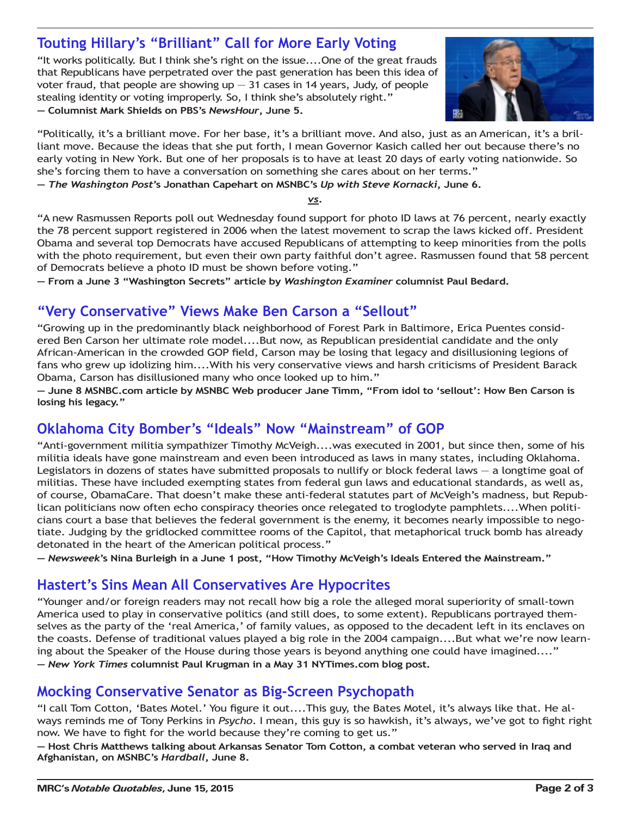# **Touting Hillary's "Brilliant" Call for More Early Voting**

"It works politically. But I think she's right on the issue....One of the great frauds that Republicans have perpetrated over the past generation has been this idea of voter fraud, that people are showing  $up - 31$  cases in 14 years, Judy, of people stealing identity or voting improperly. So, I think she's absolutely right." **— Columnist Mark Shields on PBS's** *NewsHour***, June 5.**



"Politically, it's a brilliant move. For her base, it's a brilliant move. And also, just as an American, it's a brilliant move. Because the ideas that she put forth, I mean Governor Kasich called her out because there's no early voting in New York. But one of her proposals is to have at least 20 days of early voting nationwide. So she's forcing them to have a conversation on something she cares about on her terms."

**—** *The Washington Post***'s Jonathan Capehart on MSNBC's** *Up with Steve Kornacki***, June 6.**

*vs***.**

"A new Rasmussen Reports poll out Wednesday found support for photo ID laws at 76 percent, nearly exactly the 78 percent support registered in 2006 when the latest movement to scrap the laws kicked off. President Obama and several top Democrats have accused Republicans of attempting to keep minorities from the polls with the photo requirement, but even their own party faithful don't agree. Rasmussen found that 58 percent of Democrats believe a photo ID must be shown before voting."

**— From a June 3 "Washington Secrets" article by** *Washington Examiner* **columnist Paul Bedard.**

### **"Very Conservative" Views Make Ben Carson a "Sellout"**

"Growing up in the predominantly black neighborhood of Forest Park in Baltimore, Erica Puentes considered Ben Carson her ultimate role model....But now, as Republican presidential candidate and the only African-American in the crowded GOP field, Carson may be losing that legacy and disillusioning legions of fans who grew up idolizing him....With his very conservative views and harsh criticisms of President Barack Obama, Carson has disillusioned many who once looked up to him."

**— June 8 MSNBC.com article by MSNBC Web producer Jane Timm, "From idol to 'sellout': How Ben Carson is losing his legacy."**

# **Oklahoma City Bomber's "Ideals" Now "Mainstream" of GOP**

"Anti-government militia sympathizer Timothy McVeigh....was executed in 2001, but since then, some of his militia ideals have gone mainstream and even been introduced as laws in many states, including Oklahoma. Legislators in dozens of states have submitted proposals to nullify or block federal laws — a longtime goal of militias. These have included exempting states from federal gun laws and educational standards, as well as, of course, ObamaCare. That doesn't make these anti-federal statutes part of McVeigh's madness, but Republican politicians now often echo conspiracy theories once relegated to troglodyte pamphlets....When politicians court a base that believes the federal government is the enemy, it becomes nearly impossible to negotiate. Judging by the gridlocked committee rooms of the Capitol, that metaphorical truck bomb has already detonated in the heart of the American political process."

**—** *Newsweek***'s Nina Burleigh in a June 1 post, "How Timothy McVeigh's Ideals Entered the Mainstream."**

#### **Hastert's Sins Mean All Conservatives Are Hypocrites**

"Younger and/or foreign readers may not recall how big a role the alleged moral superiority of small-town America used to play in conservative politics (and still does, to some extent). Republicans portrayed themselves as the party of the 'real America,' of family values, as opposed to the decadent left in its enclaves on the coasts. Defense of traditional values played a big role in the 2004 campaign....But what we're now learning about the Speaker of the House during those years is beyond anything one could have imagined...." **—** *New York Times* **columnist Paul Krugman in a May 31 NYTimes.com blog post.**

#### **Mocking Conservative Senator as Big-Screen Psychopath**

"I call Tom Cotton, 'Bates Motel.' You figure it out....This guy, the Bates Motel, it's always like that. He always reminds me of Tony Perkins in *Psycho*. I mean, this guy is so hawkish, it's always, we've got to fight right now. We have to fight for the world because they're coming to get us."

**— Host Chris Matthews talking about Arkansas Senator Tom Cotton, a combat veteran who served in Iraq and Afghanistan, on MSNBC's** *Hardball***, June 8.**